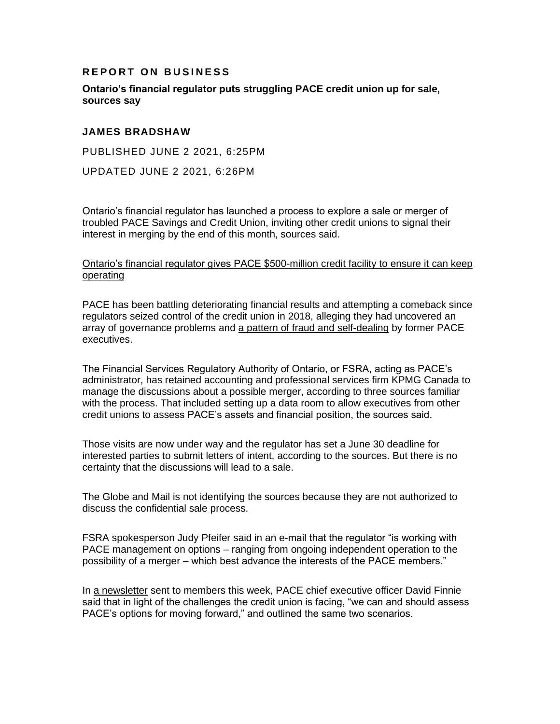## **REPORT ON BUSINESS**

**Ontario's financial regulator puts struggling PACE credit union up for sale, sources say**

## **JAMES BRADSHAW**

PUBLISHED JUNE 2 2021, 6:25PM

UPDATED JUNE 2 2021, 6:26PM

Ontario's financial regulator has launched a process to explore a sale or merger of troubled PACE Savings and Credit Union, inviting other credit unions to signal their interest in merging by the end of this month, sources said.

## [Ontario's financial regulator gives PACE \\$500-million credit facility to ensure it can keep](https://apple.news/PgIsgOqa2tOTCXQm3wf97sX)  [operating](https://apple.news/PgIsgOqa2tOTCXQm3wf97sX)

PACE has been battling deteriorating financial results and attempting a comeback since regulators seized control of the credit union in 2018, alleging they had uncovered an array of governance problems and [a pattern of fraud and self-dealing](https://www.theglobeandmail.com/business/article-pace-credit-union-executives-accused-of-fraud-over-years-of-secret/) by former PACE executives.

The Financial Services Regulatory Authority of Ontario, or FSRA, acting as PACE's administrator, has retained accounting and professional services firm KPMG Canada to manage the discussions about a possible merger, according to three sources familiar with the process. That included setting up a data room to allow executives from other credit unions to assess PACE's assets and financial position, the sources said.

Those visits are now under way and the regulator has set a June 30 deadline for interested parties to submit letters of intent, according to the sources. But there is no certainty that the discussions will lead to a sale.

The Globe and Mail is not identifying the sources because they are not authorized to discuss the confidential sale process.

FSRA spokesperson Judy Pfeifer said in an e-mail that the regulator "is working with PACE management on options – ranging from ongoing independent operation to the possibility of a merger – which best advance the interests of the PACE members."

In [a newsletter](https://www.pacecu.ca/SharedContent/documents/PACENewsletters/Q2June2021Web.pdf) sent to members this week, PACE chief executive officer David Finnie said that in light of the challenges the credit union is facing, "we can and should assess PACE's options for moving forward," and outlined the same two scenarios.